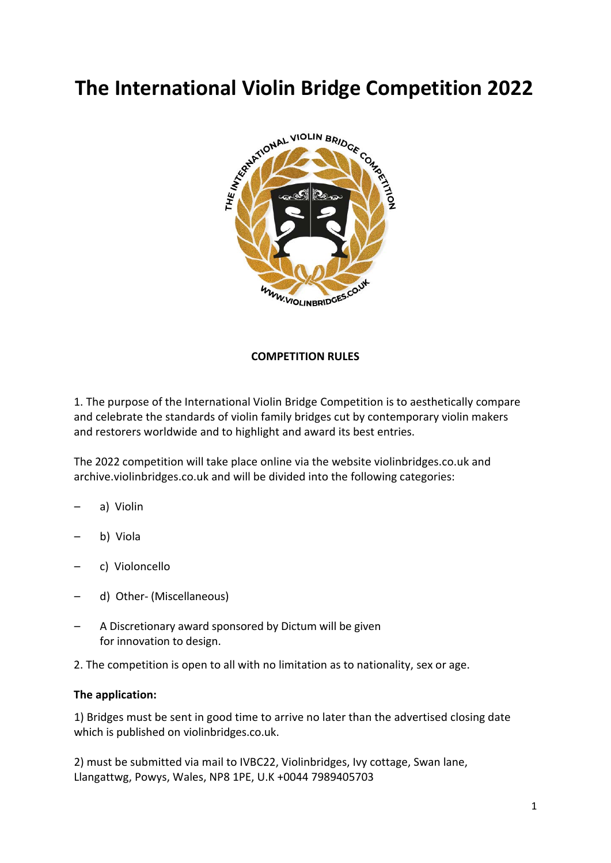

## **COMPETITION RULES**

1. The purpose of the International Violin Bridge Competition is to aesthetically compare and celebrate the standards of violin family bridges cut by contemporary violin makers and restorers worldwide and to highlight and award its best entries.

The 2022 competition will take place online via the website violinbridges.co.uk and archive.violinbridges.co.uk and will be divided into the following categories:

- a) Violin
- b) Viola
- c) Violoncello
- d) Other- (Miscellaneous)
- A Discretionary award sponsored by Dictum will be given for innovation to design.

2. The competition is open to all with no limitation as to nationality, sex or age.

### **The application:**

1) Bridges must be sent in good time to arrive no later than the advertised closing date which is published on violinbridges.co.uk.

2) must be submitted via mail to IVBC22, Violinbridges, Ivy cottage, Swan lane, Llangattwg, Powys, Wales, NP8 1PE, U.K +0044 7989405703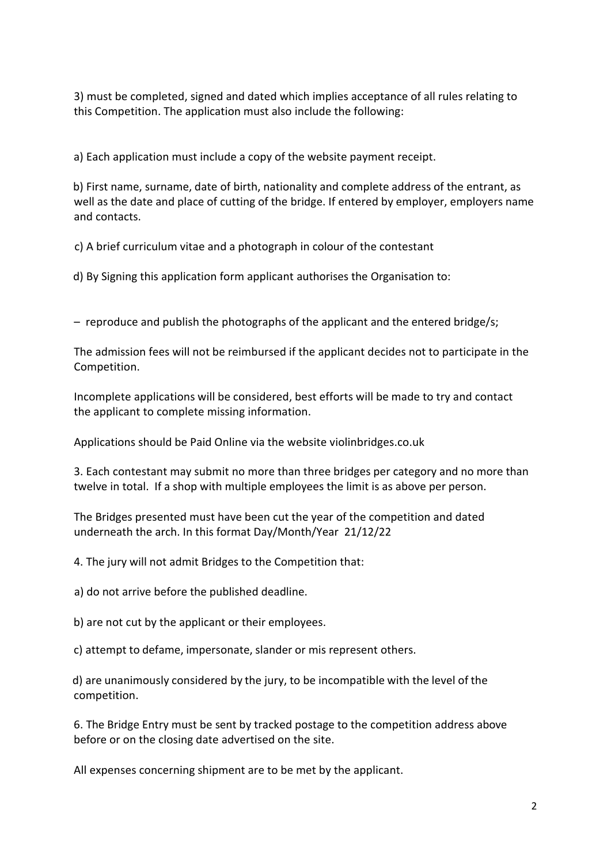3) must be completed, signed and dated which implies acceptance of all rules relating to this Competition. The application must also include the following:

a) Each application must include a copy of the website payment receipt.

b) First name, surname, date of birth, nationality and complete address of the entrant, as well as the date and place of cutting of the bridge. If entered by employer, employers name and contacts.

c) A brief curriculum vitae and a photograph in colour of the contestant

d) By Signing this application form applicant authorises the Organisation to:

– reproduce and publish the photographs of the applicant and the entered bridge/s;

The admission fees will not be reimbursed if the applicant decides not to participate in the Competition.

Incomplete applications will be considered, best efforts will be made to try and contact the applicant to complete missing information.

Applications should be Paid Online via the website violinbridges.co.uk

3. Each contestant may submit no more than three bridges per category and no more than twelve in total. If a shop with multiple employees the limit is as above per person.

The Bridges presented must have been cut the year of the competition and dated underneath the arch. In this format Day/Month/Year 21/12/22

4. The jury will not admit Bridges to the Competition that:

a) do not arrive before the published deadline.

b) are not cut by the applicant or their employees.

c) attempt to defame, impersonate, slander or mis represent others.

d) are unanimously considered by the jury, to be incompatible with the level of the competition.

6. The Bridge Entry must be sent by tracked postage to the competition address above before or on the closing date advertised on the site.

All expenses concerning shipment are to be met by the applicant.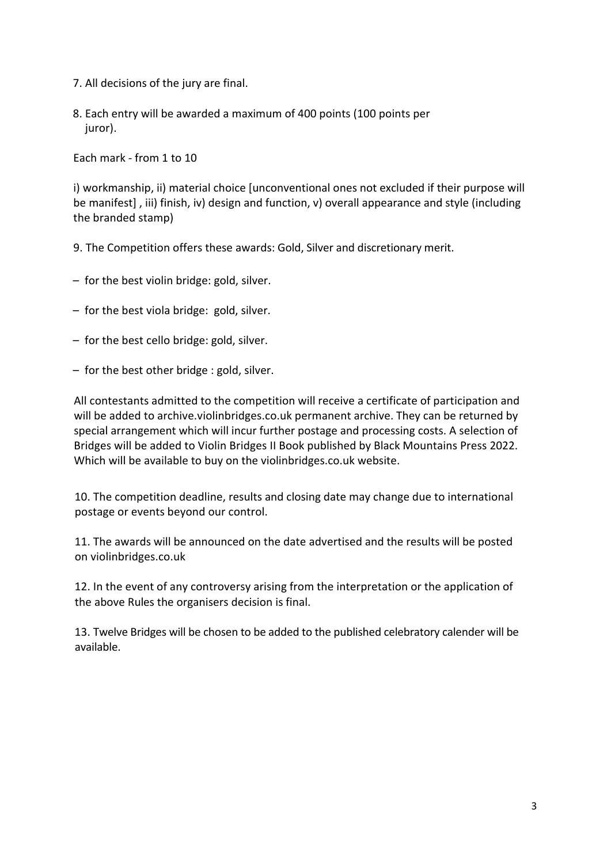- 7. All decisions of the jury are final.
- 8. Each entry will be awarded a maximum of 400 points (100 points per juror).

Each mark - from 1 to 10

i) workmanship, ii) material choice [unconventional ones not excluded if their purpose will be manifest] , iii) finish, iv) design and function, v) overall appearance and style (including the branded stamp)

- 9. The Competition offers these awards: Gold, Silver and discretionary merit.
- for the best violin bridge: gold, silver.
- for the best viola bridge: gold, silver.
- for the best cello bridge: gold, silver.
- for the best other bridge : gold, silver.

All contestants admitted to the competition will receive a certificate of participation and will be added to archive.violinbridges.co.uk permanent archive. They can be returned by special arrangement which will incur further postage and processing costs. A selection of Bridges will be added to Violin Bridges II Book published by Black Mountains Press 2022. Which will be available to buy on the violinbridges.co.uk website.

10. The competition deadline, results and closing date may change due to international postage or events beyond our control.

11. The awards will be announced on the date advertised and the results will be posted on violinbridges.co.uk

12. In the event of any controversy arising from the interpretation or the application of the above Rules the organisers decision is final.

13. Twelve Bridges will be chosen to be added to the published celebratory calender will be available.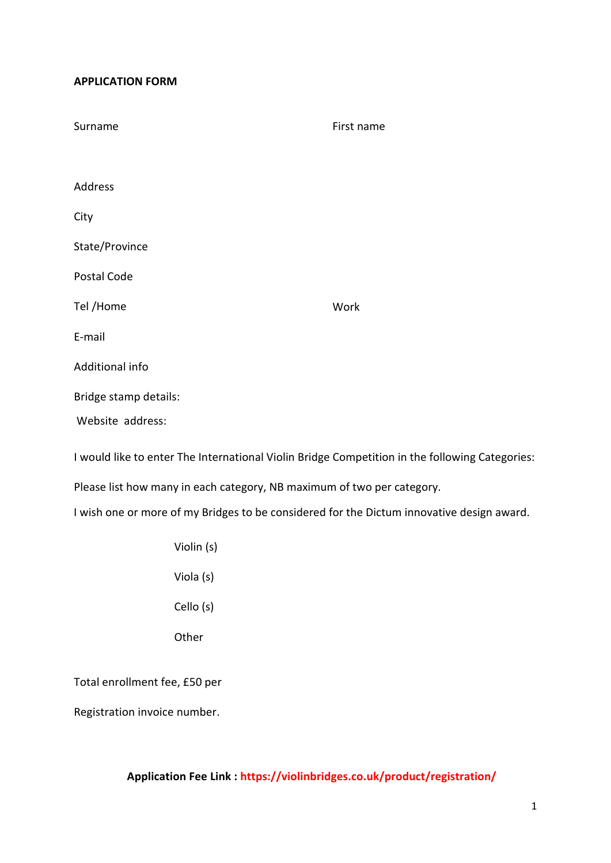### **APPLICATION FORM**

| Surname               | First name |
|-----------------------|------------|
|                       |            |
| <b>Address</b>        |            |
| City                  |            |
| State/Province        |            |
| Postal Code           |            |
| Tel /Home             | Work       |
| E-mail                |            |
| Additional info       |            |
| Bridge stamp details: |            |
| Website address:      |            |

I would like to enter The International Violin Bridge Competition in the following Categories:

Please list how many in each category, NB maximum of two per category.

I wish one or more of my Bridges to be considered for the Dictum innovative design award.

Violin (s) Viola (s) Cello (s) **Other** 

Total enrollment fee, £50 per

Registration invoice number.

# **Application Fee Link : https://violinbridges.co.uk/product/registration/**